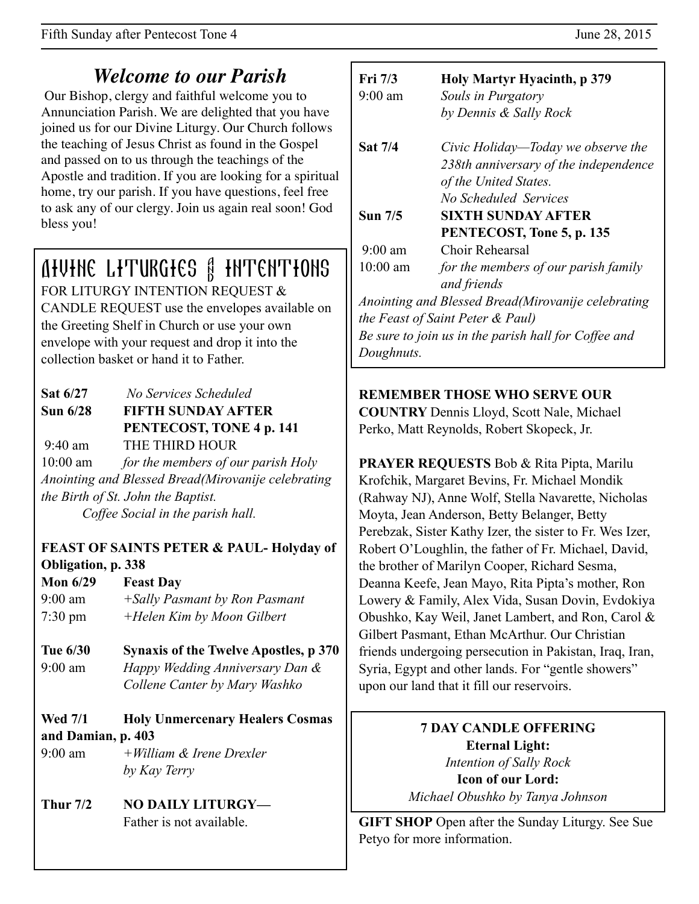## *Welcome to our Parish*

 Our Bishop, clergy and faithful welcome you to Annunciation Parish. We are delighted that you have joined us for our Divine Liturgy. Our Church follows the teaching of Jesus Christ as found in the Gospel and passed on to us through the teachings of the Apostle and tradition. If you are looking for a spiritual home, try our parish. If you have questions, feel free to ask any of our clergy. Join us again real soon! God bless you!

# AIVINE LITURGIES & INTENTIONS

FOR LITURGY INTENTION REQUEST & CANDLE REQUEST use the envelopes available on the Greeting Shelf in Church or use your own envelope with your request and drop it into the collection basket or hand it to Father.

| Sat 6/27        | No Services Scheduled                              |
|-----------------|----------------------------------------------------|
| <b>Sun 6/28</b> | <b>FIFTH SUNDAY AFTER</b>                          |
|                 | PENTECOST, TONE 4 p. 141                           |
| $9:40$ am       | THE THIRD HOUR                                     |
| $10:00$ am      | for the members of our parish Holy                 |
|                 | Anointing and Blessed Bread(Mirovanije celebrating |
|                 | the Birth of St. John the Baptist.                 |
|                 | Coffee Social in the parish hall.                  |

#### **FEAST OF SAINTS PETER & PAUL- Holyday of Obligation, p. 338**

- **Mon 6/29 Feast Day** 9:00 am *+Sally Pasmant by Ron Pasmant* 7:30 pm *+Helen Kim by Moon Gilbert*
- **Tue 6/30 Synaxis of the Twelve Apostles, p 370** 9:00 am *Happy Wedding Anniversary Dan & Collene Canter by Mary Washko*
- **Wed 7/1 Holy Unmercenary Healers Cosmas and Damian, p. 403**
- 9:00 am *+William & Irene Drexler by Kay Terry*
- **Thur 7/2 NO DAILY LITURGY—** Father is not available.

| Fri 7/3           | Holy Martyr Hyacinth, p 379                          |
|-------------------|------------------------------------------------------|
| $9:00 \text{ am}$ | Souls in Purgatory                                   |
|                   | by Dennis & Sally Rock                               |
| <b>Sat 7/4</b>    | Civic Holiday—Today we observe the                   |
|                   | 238th anniversary of the independence                |
|                   | of the United States.                                |
|                   | No Scheduled Services                                |
| <b>Sun 7/5</b>    | <b>SIXTH SUNDAY AFTER</b>                            |
|                   | PENTECOST, Tone 5, p. 135                            |
| $9:00$ am         | Choir Rehearsal                                      |
| $10:00$ am        | for the members of our parish family                 |
|                   | and friends                                          |
|                   | Anointing and Blessed Bread (Mirovanije celebrating  |
|                   | the Feast of Saint Peter & Paul)                     |
|                   | Be sure to join us in the parish hall for Coffee and |
| Doughnuts.        |                                                      |

#### **REMEMBER THOSE WHO SERVE OUR**

**COUNTRY** Dennis Lloyd, Scott Nale, Michael Perko, Matt Reynolds, Robert Skopeck, Jr.

**PRAYER REQUESTS** Bob & Rita Pipta, Marilu Krofchik, Margaret Bevins, Fr. Michael Mondik (Rahway NJ), Anne Wolf, Stella Navarette, Nicholas Moyta, Jean Anderson, Betty Belanger, Betty Perebzak, Sister Kathy Izer, the sister to Fr. Wes Izer, Robert O'Loughlin, the father of Fr. Michael, David, the brother of Marilyn Cooper, Richard Sesma, Deanna Keefe, Jean Mayo, Rita Pipta's mother, Ron Lowery & Family, Alex Vida, Susan Dovin, Evdokiya Obushko, Kay Weil, Janet Lambert, and Ron, Carol & Gilbert Pasmant, Ethan McArthur. Our Christian friends undergoing persecution in Pakistan, Iraq, Iran, Syria, Egypt and other lands. For "gentle showers" upon our land that it fill our reservoirs.

#### **7 DAY CANDLE OFFERING Eternal Light:**  *Intention of Sally Rock*  **Icon of our Lord:**

*Michael Obushko by Tanya Johnson*

**GIFT SHOP** Open after the Sunday Liturgy. See Sue Petyo for more information.